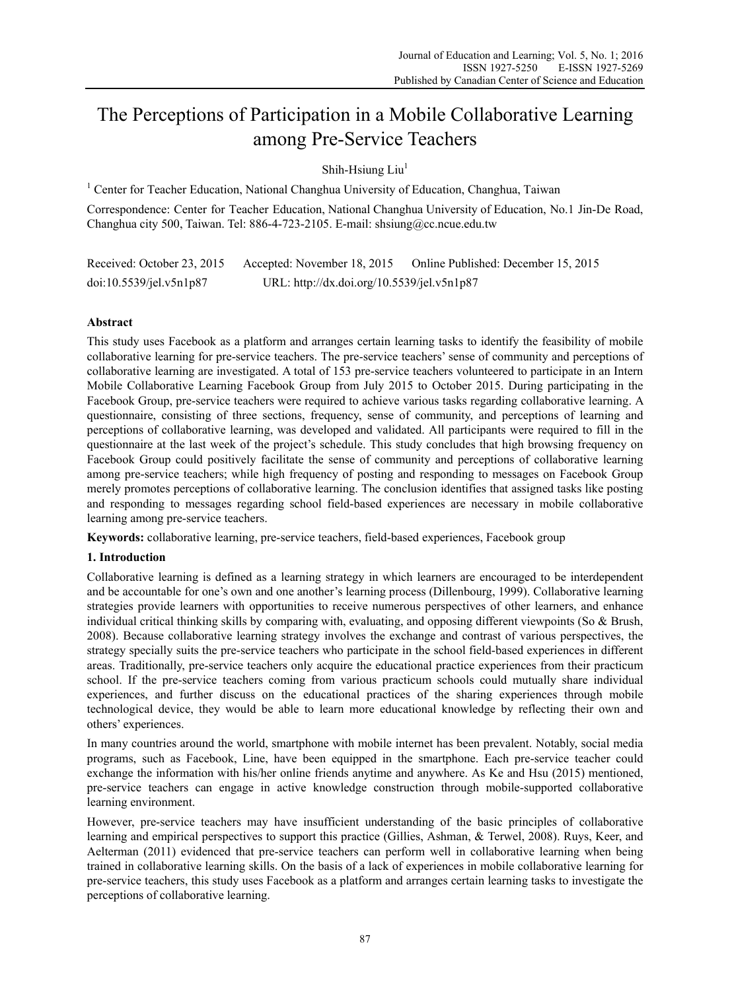# The Perceptions of Participation in a Mobile Collaborative Learning among Pre-Service Teachers

Shih-Hsiung  $Liu<sup>1</sup>$ 

<sup>1</sup> Center for Teacher Education, National Changhua University of Education, Changhua, Taiwan

Correspondence: Center for Teacher Education, National Changhua University of Education, No.1 Jin-De Road, Changhua city 500, Taiwan. Tel: 886-4-723-2105. E-mail: shsiung@cc.ncue.edu.tw

| Received: October 23, 2015 | Accepted: November 18, 2015                | Online Published: December 15, 2015 |
|----------------------------|--------------------------------------------|-------------------------------------|
| doi:10.5539/jel.v5n1p87    | URL: http://dx.doi.org/10.5539/jel.v5n1p87 |                                     |

# **Abstract**

This study uses Facebook as a platform and arranges certain learning tasks to identify the feasibility of mobile collaborative learning for pre-service teachers. The pre-service teachers' sense of community and perceptions of collaborative learning are investigated. A total of 153 pre-service teachers volunteered to participate in an Intern Mobile Collaborative Learning Facebook Group from July 2015 to October 2015. During participating in the Facebook Group, pre-service teachers were required to achieve various tasks regarding collaborative learning. A questionnaire, consisting of three sections, frequency, sense of community, and perceptions of learning and perceptions of collaborative learning, was developed and validated. All participants were required to fill in the questionnaire at the last week of the project's schedule. This study concludes that high browsing frequency on Facebook Group could positively facilitate the sense of community and perceptions of collaborative learning among pre-service teachers; while high frequency of posting and responding to messages on Facebook Group merely promotes perceptions of collaborative learning. The conclusion identifies that assigned tasks like posting and responding to messages regarding school field-based experiences are necessary in mobile collaborative learning among pre-service teachers.

**Keywords:** collaborative learning, pre-service teachers, field-based experiences, Facebook group

# **1. Introduction**

Collaborative learning is defined as a learning strategy in which learners are encouraged to be interdependent and be accountable for one's own and one another's learning process (Dillenbourg, 1999). Collaborative learning strategies provide learners with opportunities to receive numerous perspectives of other learners, and enhance individual critical thinking skills by comparing with, evaluating, and opposing different viewpoints (So & Brush, 2008). Because collaborative learning strategy involves the exchange and contrast of various perspectives, the strategy specially suits the pre-service teachers who participate in the school field-based experiences in different areas. Traditionally, pre-service teachers only acquire the educational practice experiences from their practicum school. If the pre-service teachers coming from various practicum schools could mutually share individual experiences, and further discuss on the educational practices of the sharing experiences through mobile technological device, they would be able to learn more educational knowledge by reflecting their own and others' experiences.

In many countries around the world, smartphone with mobile internet has been prevalent. Notably, social media programs, such as Facebook, Line, have been equipped in the smartphone. Each pre-service teacher could exchange the information with his/her online friends anytime and anywhere. As Ke and Hsu (2015) mentioned, pre-service teachers can engage in active knowledge construction through mobile-supported collaborative learning environment.

However, pre-service teachers may have insufficient understanding of the basic principles of collaborative learning and empirical perspectives to support this practice (Gillies, Ashman, & Terwel, 2008). Ruys, Keer, and Aelterman (2011) evidenced that pre-service teachers can perform well in collaborative learning when being trained in collaborative learning skills. On the basis of a lack of experiences in mobile collaborative learning for pre-service teachers, this study uses Facebook as a platform and arranges certain learning tasks to investigate the perceptions of collaborative learning.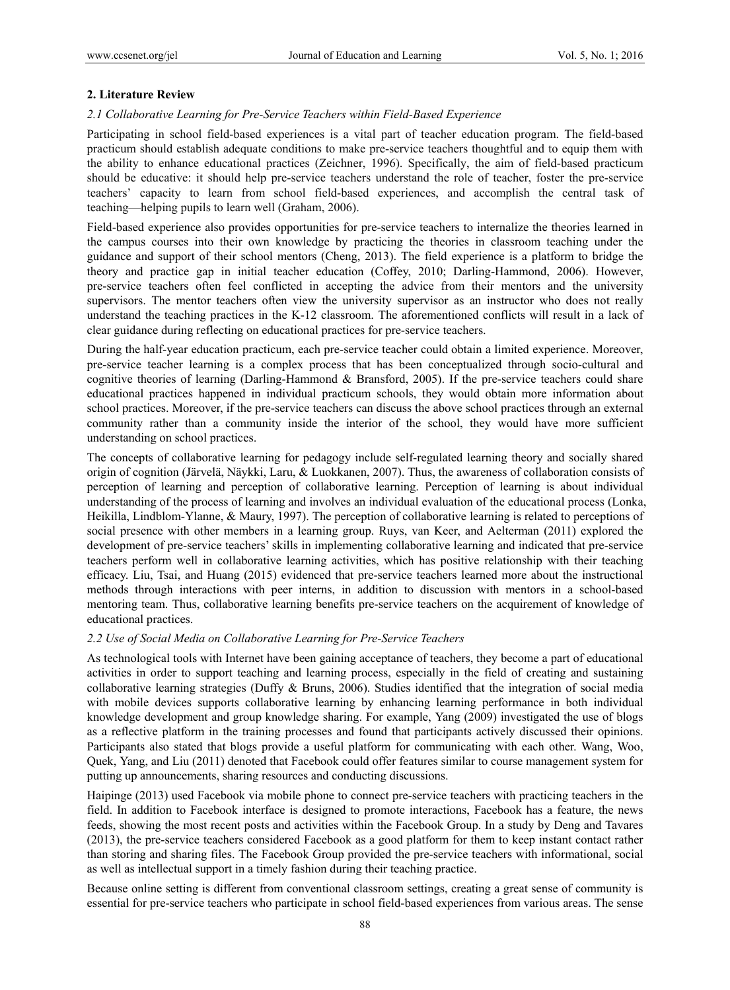## **2. Literature Review**

#### *2.1 Collaborative Learning for Pre-Service Teachers within Field-Based Experience*

Participating in school field-based experiences is a vital part of teacher education program. The field-based practicum should establish adequate conditions to make pre-service teachers thoughtful and to equip them with the ability to enhance educational practices (Zeichner, 1996). Specifically, the aim of field-based practicum should be educative: it should help pre-service teachers understand the role of teacher, foster the pre-service teachers' capacity to learn from school field-based experiences, and accomplish the central task of teaching—helping pupils to learn well (Graham, 2006).

Field-based experience also provides opportunities for pre-service teachers to internalize the theories learned in the campus courses into their own knowledge by practicing the theories in classroom teaching under the guidance and support of their school mentors (Cheng, 2013). The field experience is a platform to bridge the theory and practice gap in initial teacher education (Coffey, 2010; Darling-Hammond, 2006). However, pre-service teachers often feel conflicted in accepting the advice from their mentors and the university supervisors. The mentor teachers often view the university supervisor as an instructor who does not really understand the teaching practices in the K-12 classroom. The aforementioned conflicts will result in a lack of clear guidance during reflecting on educational practices for pre-service teachers.

During the half-year education practicum, each pre-service teacher could obtain a limited experience. Moreover, pre-service teacher learning is a complex process that has been conceptualized through socio-cultural and cognitive theories of learning (Darling-Hammond & Bransford, 2005). If the pre-service teachers could share educational practices happened in individual practicum schools, they would obtain more information about school practices. Moreover, if the pre-service teachers can discuss the above school practices through an external community rather than a community inside the interior of the school, they would have more sufficient understanding on school practices.

The concepts of collaborative learning for pedagogy include self-regulated learning theory and socially shared origin of cognition (Järvelä, Näykki, Laru, & Luokkanen, 2007). Thus, the awareness of collaboration consists of perception of learning and perception of collaborative learning. Perception of learning is about individual understanding of the process of learning and involves an individual evaluation of the educational process (Lonka, Heikilla, Lindblom-Ylanne, & Maury, 1997). The perception of collaborative learning is related to perceptions of social presence with other members in a learning group. Ruys, van Keer, and Aelterman (2011) explored the development of pre-service teachers' skills in implementing collaborative learning and indicated that pre-service teachers perform well in collaborative learning activities, which has positive relationship with their teaching efficacy. Liu, Tsai, and Huang (2015) evidenced that pre-service teachers learned more about the instructional methods through interactions with peer interns, in addition to discussion with mentors in a school-based mentoring team. Thus, collaborative learning benefits pre-service teachers on the acquirement of knowledge of educational practices.

## *2.2 Use of Social Media on Collaborative Learning for Pre-Service Teachers*

As technological tools with Internet have been gaining acceptance of teachers, they become a part of educational activities in order to support teaching and learning process, especially in the field of creating and sustaining collaborative learning strategies (Duffy & Bruns, 2006). Studies identified that the integration of social media with mobile devices supports collaborative learning by enhancing learning performance in both individual knowledge development and group knowledge sharing. For example, Yang (2009) investigated the use of blogs as a reflective platform in the training processes and found that participants actively discussed their opinions. Participants also stated that blogs provide a useful platform for communicating with each other. Wang, Woo, Quek, Yang, and Liu (2011) denoted that Facebook could offer features similar to course management system for putting up announcements, sharing resources and conducting discussions.

Haipinge (2013) used Facebook via mobile phone to connect pre-service teachers with practicing teachers in the field. In addition to Facebook interface is designed to promote interactions, Facebook has a feature, the news feeds, showing the most recent posts and activities within the Facebook Group. In a study by Deng and Tavares (2013), the pre-service teachers considered Facebook as a good platform for them to keep instant contact rather than storing and sharing files. The Facebook Group provided the pre-service teachers with informational, social as well as intellectual support in a timely fashion during their teaching practice.

Because online setting is different from conventional classroom settings, creating a great sense of community is essential for pre-service teachers who participate in school field-based experiences from various areas. The sense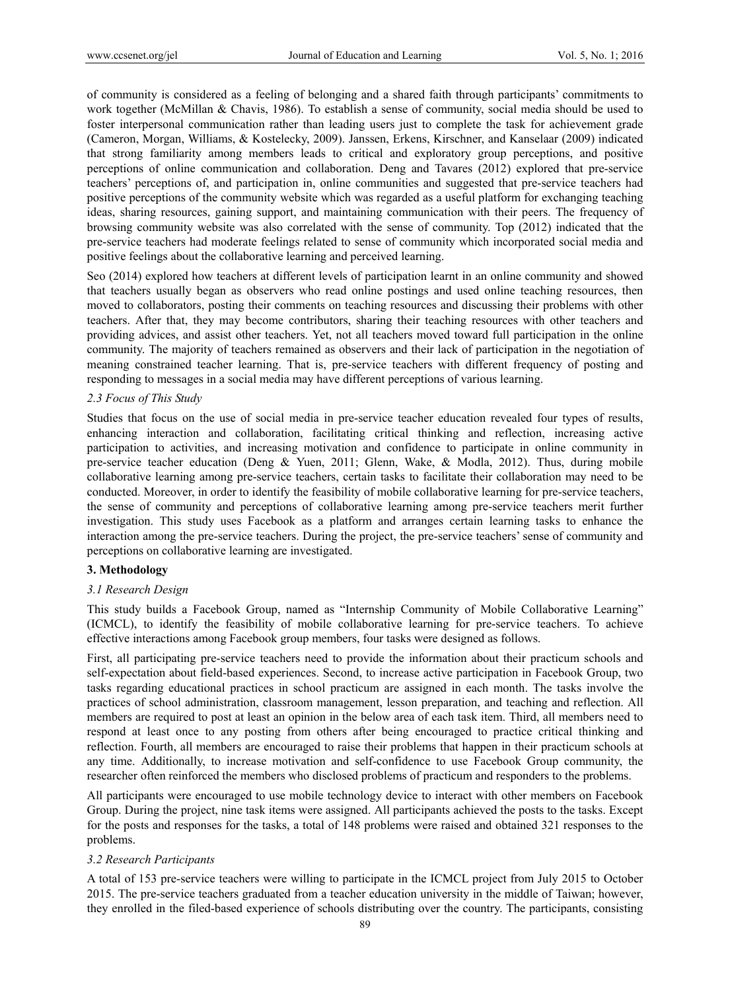of community is considered as a feeling of belonging and a shared faith through participants' commitments to work together (McMillan & Chavis, 1986). To establish a sense of community, social media should be used to foster interpersonal communication rather than leading users just to complete the task for achievement grade (Cameron, Morgan, Williams, & Kostelecky, 2009). Janssen, Erkens, Kirschner, and Kanselaar (2009) indicated that strong familiarity among members leads to critical and exploratory group perceptions, and positive perceptions of online communication and collaboration. Deng and Tavares (2012) explored that pre-service teachers' perceptions of, and participation in, online communities and suggested that pre-service teachers had positive perceptions of the community website which was regarded as a useful platform for exchanging teaching ideas, sharing resources, gaining support, and maintaining communication with their peers. The frequency of browsing community website was also correlated with the sense of community. Top (2012) indicated that the pre-service teachers had moderate feelings related to sense of community which incorporated social media and positive feelings about the collaborative learning and perceived learning.

Seo (2014) explored how teachers at different levels of participation learnt in an online community and showed that teachers usually began as observers who read online postings and used online teaching resources, then moved to collaborators, posting their comments on teaching resources and discussing their problems with other teachers. After that, they may become contributors, sharing their teaching resources with other teachers and providing advices, and assist other teachers. Yet, not all teachers moved toward full participation in the online community. The majority of teachers remained as observers and their lack of participation in the negotiation of meaning constrained teacher learning. That is, pre-service teachers with different frequency of posting and responding to messages in a social media may have different perceptions of various learning.

#### *2.3 Focus of This Study*

Studies that focus on the use of social media in pre-service teacher education revealed four types of results, enhancing interaction and collaboration, facilitating critical thinking and reflection, increasing active participation to activities, and increasing motivation and confidence to participate in online community in pre-service teacher education (Deng & Yuen, 2011; Glenn, Wake, & Modla, 2012). Thus, during mobile collaborative learning among pre-service teachers, certain tasks to facilitate their collaboration may need to be conducted. Moreover, in order to identify the feasibility of mobile collaborative learning for pre-service teachers, the sense of community and perceptions of collaborative learning among pre-service teachers merit further investigation. This study uses Facebook as a platform and arranges certain learning tasks to enhance the interaction among the pre-service teachers. During the project, the pre-service teachers' sense of community and perceptions on collaborative learning are investigated.

#### **3. Methodology**

## *3.1 Research Design*

This study builds a Facebook Group, named as "Internship Community of Mobile Collaborative Learning" (ICMCL), to identify the feasibility of mobile collaborative learning for pre-service teachers. To achieve effective interactions among Facebook group members, four tasks were designed as follows.

First, all participating pre-service teachers need to provide the information about their practicum schools and self-expectation about field-based experiences. Second, to increase active participation in Facebook Group, two tasks regarding educational practices in school practicum are assigned in each month. The tasks involve the practices of school administration, classroom management, lesson preparation, and teaching and reflection. All members are required to post at least an opinion in the below area of each task item. Third, all members need to respond at least once to any posting from others after being encouraged to practice critical thinking and reflection. Fourth, all members are encouraged to raise their problems that happen in their practicum schools at any time. Additionally, to increase motivation and self-confidence to use Facebook Group community, the researcher often reinforced the members who disclosed problems of practicum and responders to the problems.

All participants were encouraged to use mobile technology device to interact with other members on Facebook Group. During the project, nine task items were assigned. All participants achieved the posts to the tasks. Except for the posts and responses for the tasks, a total of 148 problems were raised and obtained 321 responses to the problems.

## *3.2 Research Participants*

A total of 153 pre-service teachers were willing to participate in the ICMCL project from July 2015 to October 2015. The pre-service teachers graduated from a teacher education university in the middle of Taiwan; however, they enrolled in the filed-based experience of schools distributing over the country. The participants, consisting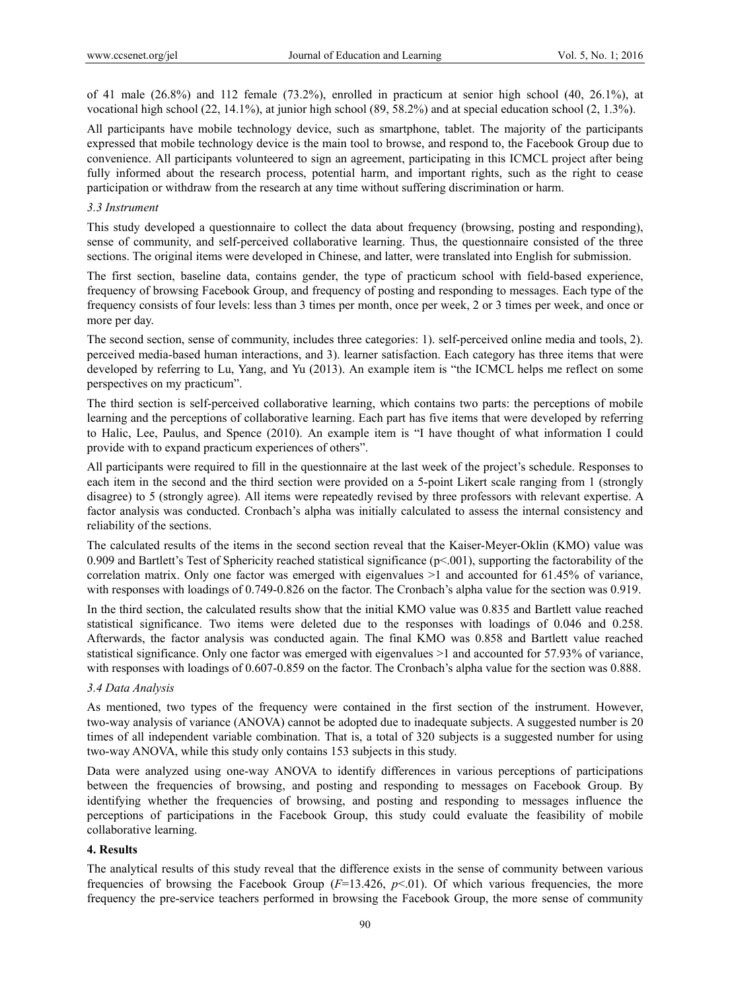of 41 male  $(26.8\%)$  and 112 female  $(73.2\%)$ , enrolled in practicum at senior high school  $(40, 26.1\%)$ , at vocational high school (22, 14.1%), at junior high school (89, 58.2%) and at special education school (2, 1.3%).

All participants have mobile technology device, such as smartphone, tablet. The majority of the participants expressed that mobile technology device is the main tool to browse, and respond to, the Facebook Group due to convenience. All participants volunteered to sign an agreement, participating in this ICMCL project after being fully informed about the research process, potential harm, and important rights, such as the right to cease participation or withdraw from the research at any time without suffering discrimination or harm.

## *3.3 Instrument*

This study developed a questionnaire to collect the data about frequency (browsing, posting and responding), sense of community, and self-perceived collaborative learning. Thus, the questionnaire consisted of the three sections. The original items were developed in Chinese, and latter, were translated into English for submission.

The first section, baseline data, contains gender, the type of practicum school with field-based experience, frequency of browsing Facebook Group, and frequency of posting and responding to messages. Each type of the frequency consists of four levels: less than 3 times per month, once per week, 2 or 3 times per week, and once or more per day.

The second section, sense of community, includes three categories: 1). self-perceived online media and tools, 2). perceived media-based human interactions, and 3). learner satisfaction. Each category has three items that were developed by referring to Lu, Yang, and Yu (2013). An example item is "the ICMCL helps me reflect on some perspectives on my practicum".

The third section is self-perceived collaborative learning, which contains two parts: the perceptions of mobile learning and the perceptions of collaborative learning. Each part has five items that were developed by referring to Halic, Lee, Paulus, and Spence (2010). An example item is "I have thought of what information I could provide with to expand practicum experiences of others".

All participants were required to fill in the questionnaire at the last week of the project's schedule. Responses to each item in the second and the third section were provided on a 5-point Likert scale ranging from 1 (strongly disagree) to 5 (strongly agree). All items were repeatedly revised by three professors with relevant expertise. A factor analysis was conducted. Cronbach's alpha was initially calculated to assess the internal consistency and reliability of the sections.

The calculated results of the items in the second section reveal that the Kaiser-Meyer-Oklin (KMO) value was 0.909 and Bartlett's Test of Sphericity reached statistical significance ( $p<0.01$ ), supporting the factorability of the correlation matrix. Only one factor was emerged with eigenvalues  $>1$  and accounted for 61.45% of variance, with responses with loadings of 0.749-0.826 on the factor. The Cronbach's alpha value for the section was 0.919.

In the third section, the calculated results show that the initial KMO value was 0.835 and Bartlett value reached statistical significance. Two items were deleted due to the responses with loadings of 0.046 and 0.258. Afterwards, the factor analysis was conducted again. The final KMO was 0.858 and Bartlett value reached statistical significance. Only one factor was emerged with eigenvalues >1 and accounted for 57.93% of variance, with responses with loadings of 0.607-0.859 on the factor. The Cronbach's alpha value for the section was 0.888.

## *3.4 Data Analysis*

As mentioned, two types of the frequency were contained in the first section of the instrument. However, two-way analysis of variance (ANOVA) cannot be adopted due to inadequate subjects. A suggested number is 20 times of all independent variable combination. That is, a total of 320 subjects is a suggested number for using two-way ANOVA, while this study only contains 153 subjects in this study.

Data were analyzed using one-way ANOVA to identify differences in various perceptions of participations between the frequencies of browsing, and posting and responding to messages on Facebook Group. By identifying whether the frequencies of browsing, and posting and responding to messages influence the perceptions of participations in the Facebook Group, this study could evaluate the feasibility of mobile collaborative learning.

## **4. Results**

The analytical results of this study reveal that the difference exists in the sense of community between various frequencies of browsing the Facebook Group  $(F=13.426, p<0.01)$ . Of which various frequencies, the more frequency the pre-service teachers performed in browsing the Facebook Group, the more sense of community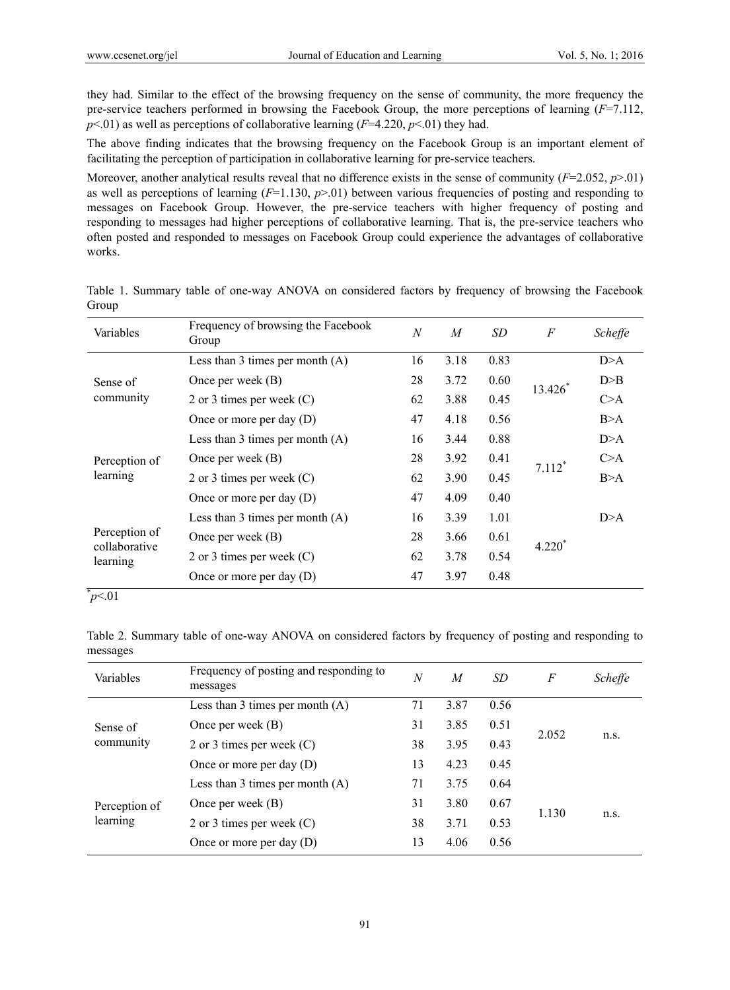they had. Similar to the effect of the browsing frequency on the sense of community, the more frequency the pre-service teachers performed in browsing the Facebook Group, the more perceptions of learning (*F*=7.112,  $p<01$ ) as well as perceptions of collaborative learning ( $F=4.220, p<01$ ) they had.

The above finding indicates that the browsing frequency on the Facebook Group is an important element of facilitating the perception of participation in collaborative learning for pre-service teachers.

Moreover, another analytical results reveal that no difference exists in the sense of community  $(F=2.052, p>01)$ as well as perceptions of learning  $(F=1.130, p>0.01)$  between various frequencies of posting and responding to messages on Facebook Group. However, the pre-service teachers with higher frequency of posting and responding to messages had higher perceptions of collaborative learning. That is, the pre-service teachers who often posted and responded to messages on Facebook Group could experience the advantages of collaborative works.

| Variables                                  | Frequency of browsing the Facebook<br>Group | N  | $\overline{M}$ | SD.  | $\overline{F}$ | Scheffe |
|--------------------------------------------|---------------------------------------------|----|----------------|------|----------------|---------|
| Sense of<br>community                      | Less than 3 times per month $(A)$           | 16 | 3.18           | 0.83 |                | D>A     |
|                                            | Once per week $(B)$                         | 28 | 3.72           | 0.60 | 13.426*        | D>B     |
|                                            | 2 or 3 times per week $(C)$                 | 62 | 3.88           | 0.45 |                | C > A   |
|                                            | Once or more per day $(D)$                  | 47 | 4.18           | 0.56 |                | B>A     |
| Perception of<br>learning                  | Less than 3 times per month $(A)$           | 16 | 3.44           | 0.88 | $7.112*$       | D>A     |
|                                            | Once per week $(B)$                         | 28 | 3.92           | 0.41 |                | C > A   |
|                                            | 2 or 3 times per week $(C)$                 | 62 | 3.90           | 0.45 |                | B>A     |
|                                            | Once or more per day $(D)$                  | 47 | 4.09           | 0.40 |                |         |
| Perception of<br>collaborative<br>learning | Less than 3 times per month $(A)$           | 16 | 3.39           | 1.01 |                | D>A     |
|                                            | Once per week $(B)$                         | 28 | 3.66           | 0.61 |                |         |
|                                            | 2 or 3 times per week $(C)$                 | 62 | 3.78           | 0.54 | $4.220*$       |         |
|                                            | Once or more per day $(D)$                  | 47 | 3.97           | 0.48 |                |         |

Table 1. Summary table of one-way ANOVA on considered factors by frequency of browsing the Facebook Group

 $p<.01$ 

Table 2. Summary table of one-way ANOVA on considered factors by frequency of posting and responding to messages

| Variables                 | Frequency of posting and responding to<br>messages | $\overline{N}$ | $\overline{M}$ | SD.  | F     | Scheffe |
|---------------------------|----------------------------------------------------|----------------|----------------|------|-------|---------|
| Sense of<br>community     | Less than 3 times per month $(A)$                  | 71             | 3.87           | 0.56 | 2.052 | n.S.    |
|                           | Once per week $(B)$                                | 31             | 3.85           | 0.51 |       |         |
|                           | 2 or 3 times per week $(C)$                        | 38             | 3.95           | 0.43 |       |         |
|                           | Once or more per day $(D)$                         | 13             | 4.23           | 0.45 |       |         |
| Perception of<br>learning | Less than 3 times per month $(A)$                  | 71             | 3.75           | 0.64 | 1.130 | n.S.    |
|                           | Once per week $(B)$                                | 31             | 3.80           | 0.67 |       |         |
|                           | 2 or 3 times per week $(C)$                        | 38             | 3.71           | 0.53 |       |         |
|                           | Once or more per day $(D)$                         | 13             | 4.06           | 0.56 |       |         |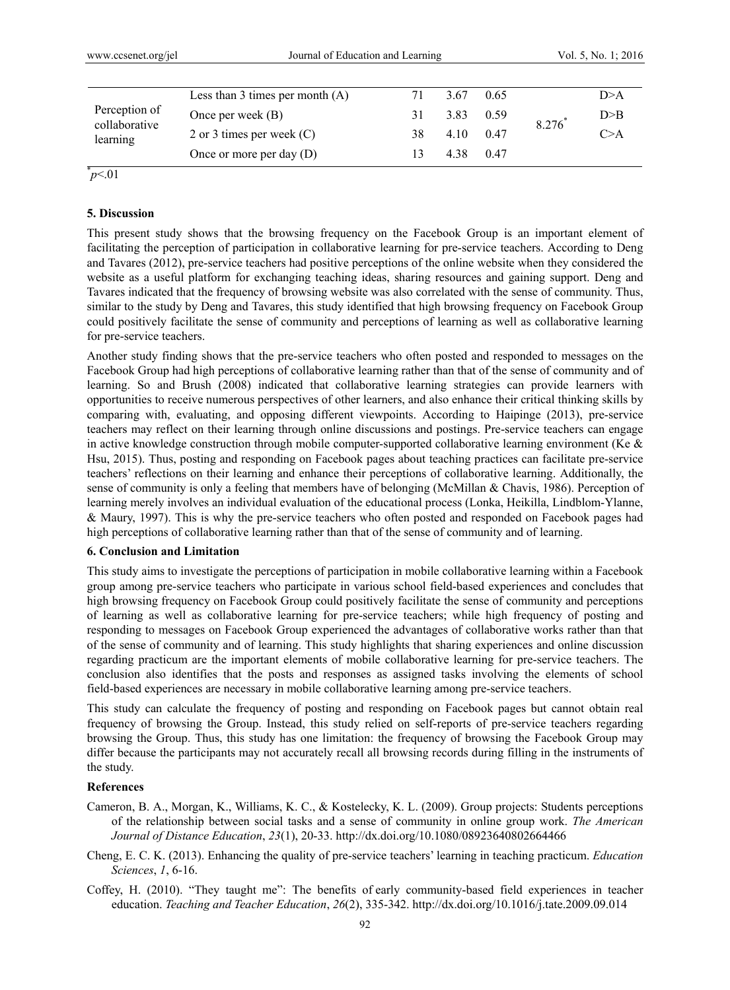| Perception of<br>collaborative<br>learning | Less than 3 times per month $(A)$ | 71 | 3.67 0.65         |  | $8.276*$ | D>A   |
|--------------------------------------------|-----------------------------------|----|-------------------|--|----------|-------|
|                                            | Once per week $(B)$               | 31 | 3.83 0.59         |  |          | D>B   |
|                                            | 2 or 3 times per week $(C)$       | 38 | $4.10 \quad 0.47$ |  |          | C > A |
|                                            | Once or more per day $(D)$        |    | 4 38 0 47         |  |          |       |

 $p<.01$ 

#### **5. Discussion**

This present study shows that the browsing frequency on the Facebook Group is an important element of facilitating the perception of participation in collaborative learning for pre-service teachers. According to Deng and Tavares (2012), pre-service teachers had positive perceptions of the online website when they considered the website as a useful platform for exchanging teaching ideas, sharing resources and gaining support. Deng and Tavares indicated that the frequency of browsing website was also correlated with the sense of community. Thus, similar to the study by Deng and Tavares, this study identified that high browsing frequency on Facebook Group could positively facilitate the sense of community and perceptions of learning as well as collaborative learning for pre-service teachers.

Another study finding shows that the pre-service teachers who often posted and responded to messages on the Facebook Group had high perceptions of collaborative learning rather than that of the sense of community and of learning. So and Brush (2008) indicated that collaborative learning strategies can provide learners with opportunities to receive numerous perspectives of other learners, and also enhance their critical thinking skills by comparing with, evaluating, and opposing different viewpoints. According to Haipinge (2013), pre-service teachers may reflect on their learning through online discussions and postings. Pre-service teachers can engage in active knowledge construction through mobile computer-supported collaborative learning environment (Ke  $\&$ Hsu, 2015). Thus, posting and responding on Facebook pages about teaching practices can facilitate pre-service teachers' reflections on their learning and enhance their perceptions of collaborative learning. Additionally, the sense of community is only a feeling that members have of belonging (McMillan & Chavis, 1986). Perception of learning merely involves an individual evaluation of the educational process (Lonka, Heikilla, Lindblom-Ylanne, & Maury, 1997). This is why the pre-service teachers who often posted and responded on Facebook pages had high perceptions of collaborative learning rather than that of the sense of community and of learning.

#### **6. Conclusion and Limitation**

This study aims to investigate the perceptions of participation in mobile collaborative learning within a Facebook group among pre-service teachers who participate in various school field-based experiences and concludes that high browsing frequency on Facebook Group could positively facilitate the sense of community and perceptions of learning as well as collaborative learning for pre-service teachers; while high frequency of posting and responding to messages on Facebook Group experienced the advantages of collaborative works rather than that of the sense of community and of learning. This study highlights that sharing experiences and online discussion regarding practicum are the important elements of mobile collaborative learning for pre-service teachers. The conclusion also identifies that the posts and responses as assigned tasks involving the elements of school field-based experiences are necessary in mobile collaborative learning among pre-service teachers.

This study can calculate the frequency of posting and responding on Facebook pages but cannot obtain real frequency of browsing the Group. Instead, this study relied on self-reports of pre-service teachers regarding browsing the Group. Thus, this study has one limitation: the frequency of browsing the Facebook Group may differ because the participants may not accurately recall all browsing records during filling in the instruments of the study.

#### **References**

- Cameron, B. A., Morgan, K., Williams, K. C., & Kostelecky, K. L. (2009). Group projects: Students perceptions of the relationship between social tasks and a sense of community in online group work. *The American Journal of Distance Education*, *23*(1), 20-33. http://dx.doi.org/10.1080/08923640802664466
- Cheng, E. C. K. (2013). Enhancing the quality of pre-service teachers' learning in teaching practicum. *Education Sciences*, *1*, 6-16.
- Coffey, H. (2010). "They taught me": The benefits of early community-based field experiences in teacher education. *Teaching and Teacher Education*, *26*(2), 335-342. http://dx.doi.org/10.1016/j.tate.2009.09.014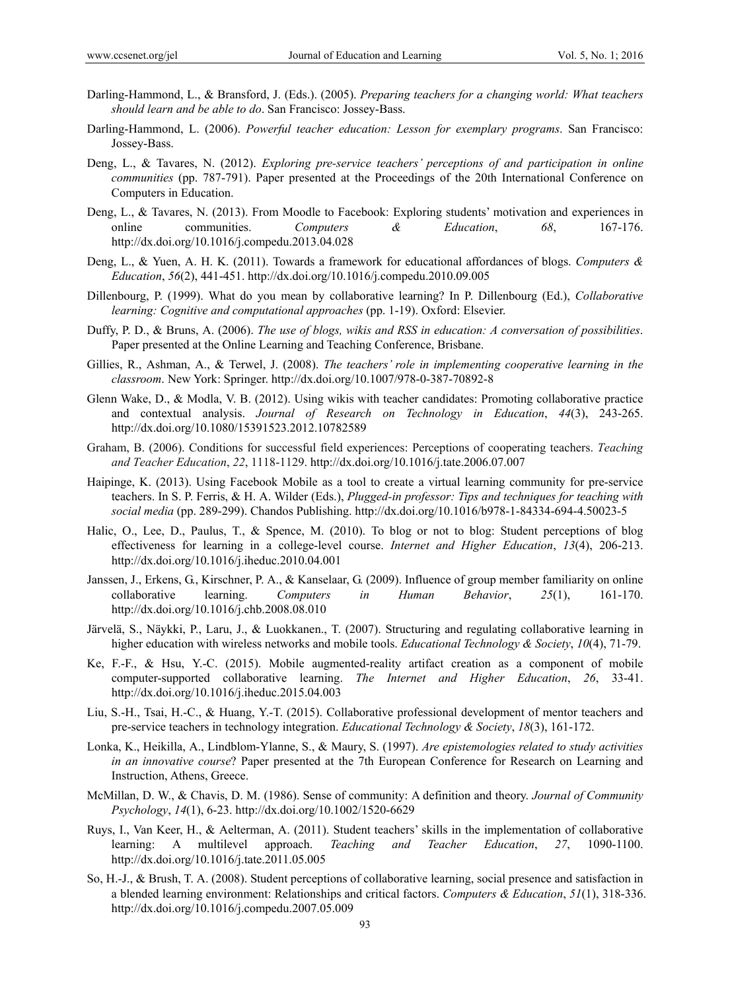- Darling-Hammond, L., & Bransford, J. (Eds.). (2005). *Preparing teachers for a changing world: What teachers should learn and be able to do*. San Francisco: Jossey-Bass.
- Darling-Hammond, L. (2006). *Powerful teacher education: Lesson for exemplary programs*. San Francisco: Jossey-Bass.
- Deng, L., & Tavares, N. (2012). *Exploring pre-service teachers' perceptions of and participation in online communities* (pp. 787-791). Paper presented at the Proceedings of the 20th International Conference on Computers in Education.
- Deng, L., & Tavares, N. (2013). From Moodle to Facebook: Exploring students' motivation and experiences in online communities. *Computers & Education*, *68*, 167-176. http://dx.doi.org/10.1016/j.compedu.2013.04.028
- Deng, L., & Yuen, A. H. K. (2011). Towards a framework for educational affordances of blogs. *Computers & Education*, *56*(2), 441-451. http://dx.doi.org/10.1016/j.compedu.2010.09.005
- Dillenbourg, P. (1999). What do you mean by collaborative learning? In P. Dillenbourg (Ed.), *Collaborative learning: Cognitive and computational approaches* (pp. 1-19). Oxford: Elsevier.
- Duffy, P. D., & Bruns, A. (2006). *The use of blogs, wikis and RSS in education: A conversation of possibilities*. Paper presented at the Online Learning and Teaching Conference, Brisbane.
- Gillies, R., Ashman, A., & Terwel, J. (2008). *The teachers' role in implementing cooperative learning in the classroom*. New York: Springer. http://dx.doi.org/10.1007/978-0-387-70892-8
- Glenn Wake, D., & Modla, V. B. (2012). Using wikis with teacher candidates: Promoting collaborative practice and contextual analysis. *Journal of Research on Technology in Education*, *44*(3), 243-265. http://dx.doi.org/10.1080/15391523.2012.10782589
- Graham, B. (2006). Conditions for successful field experiences: Perceptions of cooperating teachers. *Teaching and Teacher Education*, *22*, 1118-1129. http://dx.doi.org/10.1016/j.tate.2006.07.007
- Haipinge, K. (2013). Using Facebook Mobile as a tool to create a virtual learning community for pre-service teachers. In S. P. Ferris, & H. A. Wilder (Eds.), *Plugged-in professor: Tips and techniques for teaching with social media* (pp. 289-299). Chandos Publishing. http://dx.doi.org/10.1016/b978-1-84334-694-4.50023-5
- Halic, O., Lee, D., Paulus, T., & Spence, M. (2010). To blog or not to blog: Student perceptions of blog effectiveness for learning in a college-level course. *Internet and Higher Education*, *13*(4), 206-213. http://dx.doi.org/10.1016/j.iheduc.2010.04.001
- Janssen, J., Erkens, G., Kirschner, P. A., & Kanselaar, G. (2009). Influence of group member familiarity on online collaborative learning. *Computers in Human Behavior*, *25*(1), 161-170. http://dx.doi.org/10.1016/j.chb.2008.08.010
- Järvelä, S., Näykki, P., Laru, J., & Luokkanen., T. (2007). Structuring and regulating collaborative learning in higher education with wireless networks and mobile tools. *Educational Technology & Society*, *10*(4), 71-79.
- Ke, F.-F., & Hsu, Y.-C. (2015). Mobile augmented-reality artifact creation as a component of mobile computer-supported collaborative learning. *The Internet and Higher Education*, *26*, 33-41. http://dx.doi.org/10.1016/j.iheduc.2015.04.003
- Liu, S.-H., Tsai, H.-C., & Huang, Y.-T. (2015). Collaborative professional development of mentor teachers and pre-service teachers in technology integration. *Educational Technology & Society*, *18*(3), 161-172.
- Lonka, K., Heikilla, A., Lindblom-Ylanne, S., & Maury, S. (1997). *Are epistemologies related to study activities in an innovative course*? Paper presented at the 7th European Conference for Research on Learning and Instruction, Athens, Greece.
- McMillan, D. W., & Chavis, D. M. (1986). Sense of community: A definition and theory. *Journal of Community Psychology*, *14*(1), 6-23. http://dx.doi.org/10.1002/1520-6629
- Ruys, I., Van Keer, H., & Aelterman, A. (2011). Student teachers' skills in the implementation of collaborative learning: A multilevel approach. *Teaching and Teacher Education*, *27*, 1090-1100. http://dx.doi.org/10.1016/j.tate.2011.05.005
- So, H.-J., & Brush, T. A. (2008). Student perceptions of collaborative learning, social presence and satisfaction in a blended learning environment: Relationships and critical factors. *Computers & Education*, *51*(1), 318-336. http://dx.doi.org/10.1016/j.compedu.2007.05.009